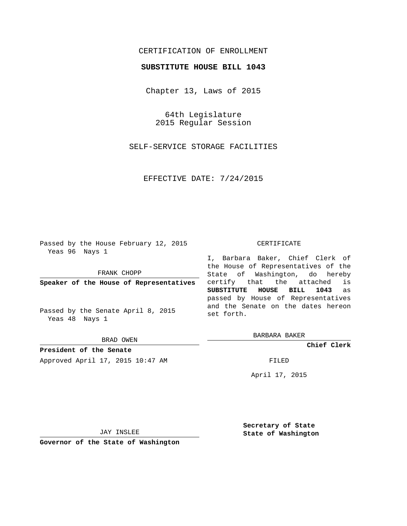## CERTIFICATION OF ENROLLMENT

## **SUBSTITUTE HOUSE BILL 1043**

Chapter 13, Laws of 2015

64th Legislature 2015 Regular Session

SELF-SERVICE STORAGE FACILITIES

EFFECTIVE DATE: 7/24/2015

Passed by the House February 12, 2015 Yeas 96 Nays 1

FRANK CHOPP

**Speaker of the House of Representatives**

Passed by the Senate April 8, 2015 Yeas 48 Nays 1

BRAD OWEN

**President of the Senate** Approved April 17, 2015 10:47 AM FILED

## CERTIFICATE

I, Barbara Baker, Chief Clerk of the House of Representatives of the State of Washington, do hereby certify that the attached is **SUBSTITUTE HOUSE BILL 1043** as passed by House of Representatives and the Senate on the dates hereon set forth.

BARBARA BAKER

**Chief Clerk**

April 17, 2015

JAY INSLEE

**Governor of the State of Washington**

**Secretary of State State of Washington**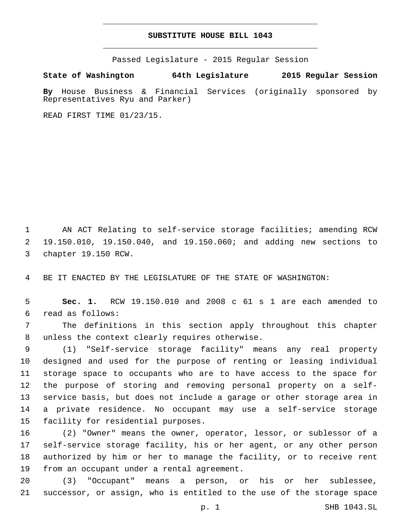## **SUBSTITUTE HOUSE BILL 1043**

Passed Legislature - 2015 Regular Session

**State of Washington 64th Legislature 2015 Regular Session**

**By** House Business & Financial Services (originally sponsored by Representatives Ryu and Parker)

READ FIRST TIME 01/23/15.

1 AN ACT Relating to self-service storage facilities; amending RCW 2 19.150.010, 19.150.040, and 19.150.060; and adding new sections to 3 chapter 19.150 RCW.

4 BE IT ENACTED BY THE LEGISLATURE OF THE STATE OF WASHINGTON:

5 **Sec. 1.** RCW 19.150.010 and 2008 c 61 s 1 are each amended to read as follows:6

7 The definitions in this section apply throughout this chapter 8 unless the context clearly requires otherwise.

 (1) "Self-service storage facility" means any real property designed and used for the purpose of renting or leasing individual storage space to occupants who are to have access to the space for the purpose of storing and removing personal property on a self- service basis, but does not include a garage or other storage area in a private residence. No occupant may use a self-service storage 15 facility for residential purposes.

 (2) "Owner" means the owner, operator, lessor, or sublessor of a self-service storage facility, his or her agent, or any other person authorized by him or her to manage the facility, or to receive rent 19 from an occupant under a rental agreement.

20 (3) "Occupant" means a person, or his or her sublessee, 21 successor, or assign, who is entitled to the use of the storage space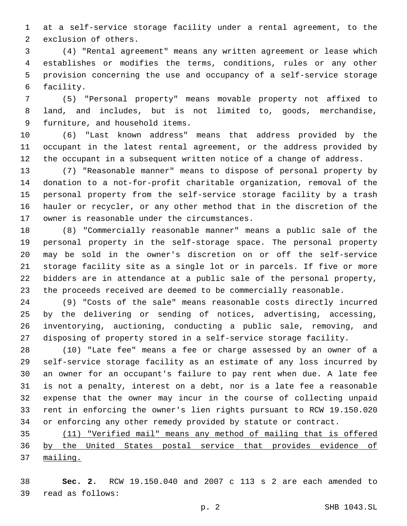at a self-service storage facility under a rental agreement, to the 2 exclusion of others.

 (4) "Rental agreement" means any written agreement or lease which establishes or modifies the terms, conditions, rules or any other provision concerning the use and occupancy of a self-service storage 6 facility.

 (5) "Personal property" means movable property not affixed to land, and includes, but is not limited to, goods, merchandise, 9 furniture, and household items.

 (6) "Last known address" means that address provided by the occupant in the latest rental agreement, or the address provided by the occupant in a subsequent written notice of a change of address.

 (7) "Reasonable manner" means to dispose of personal property by donation to a not-for-profit charitable organization, removal of the personal property from the self-service storage facility by a trash hauler or recycler, or any other method that in the discretion of the 17 owner is reasonable under the circumstances.

 (8) "Commercially reasonable manner" means a public sale of the personal property in the self-storage space. The personal property may be sold in the owner's discretion on or off the self-service storage facility site as a single lot or in parcels. If five or more bidders are in attendance at a public sale of the personal property, the proceeds received are deemed to be commercially reasonable.

 (9) "Costs of the sale" means reasonable costs directly incurred by the delivering or sending of notices, advertising, accessing, inventorying, auctioning, conducting a public sale, removing, and disposing of property stored in a self-service storage facility.

 (10) "Late fee" means a fee or charge assessed by an owner of a self-service storage facility as an estimate of any loss incurred by an owner for an occupant's failure to pay rent when due. A late fee is not a penalty, interest on a debt, nor is a late fee a reasonable expense that the owner may incur in the course of collecting unpaid rent in enforcing the owner's lien rights pursuant to RCW 19.150.020 or enforcing any other remedy provided by statute or contract.

 (11) "Verified mail" means any method of mailing that is offered by the United States postal service that provides evidence of mailing.

 **Sec. 2.** RCW 19.150.040 and 2007 c 113 s 2 are each amended to read as follows:39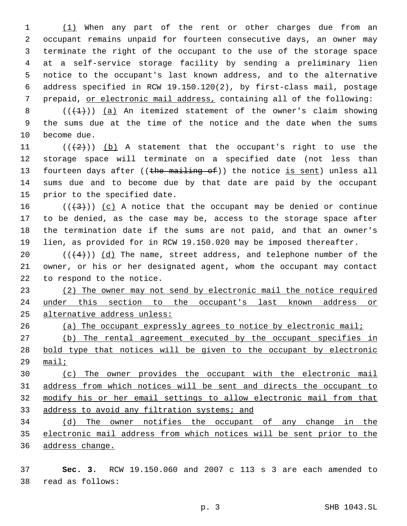(1) When any part of the rent or other charges due from an occupant remains unpaid for fourteen consecutive days, an owner may terminate the right of the occupant to the use of the storage space at a self-service storage facility by sending a preliminary lien notice to the occupant's last known address, and to the alternative address specified in RCW 19.150.120(2), by first-class mail, postage prepaid, or electronic mail address, containing all of the following:

8  $((+1))$  (a) An itemized statement of the owner's claim showing the sums due at the time of the notice and the date when the sums 10 become due.

11  $((+2+))$  (b) A statement that the occupant's right to use the storage space will terminate on a specified date (not less than 13 fourteen days after ((the mailing of)) the notice is sent) unless all sums due and to become due by that date are paid by the occupant 15 prior to the specified date.

16 ( $(\frac{4}{3})$ ) (c) A notice that the occupant may be denied or continue to be denied, as the case may be, access to the storage space after the termination date if the sums are not paid, and that an owner's lien, as provided for in RCW 19.150.020 may be imposed thereafter.

 $((+4))$   $(d)$  The name, street address, and telephone number of the owner, or his or her designated agent, whom the occupant may contact 22 to respond to the notice.

 (2) The owner may not send by electronic mail the notice required under this section to the occupant's last known address or alternative address unless:

(a) The occupant expressly agrees to notice by electronic mail;

 (b) The rental agreement executed by the occupant specifies in 28 bold type that notices will be given to the occupant by electronic mail;

 (c) The owner provides the occupant with the electronic mail address from which notices will be sent and directs the occupant to modify his or her email settings to allow electronic mail from that 33 address to avoid any filtration systems; and

 (d) The owner notifies the occupant of any change in the electronic mail address from which notices will be sent prior to the address change.

 **Sec. 3.** RCW 19.150.060 and 2007 c 113 s 3 are each amended to read as follows:38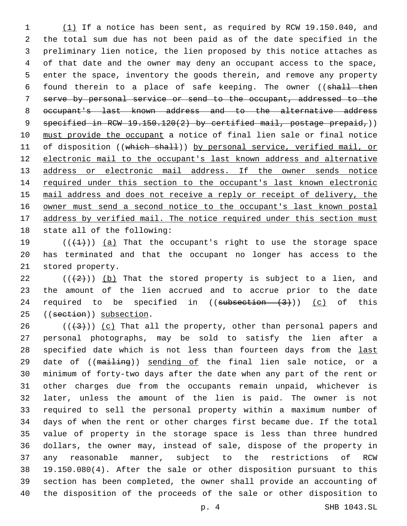(1) If a notice has been sent, as required by RCW 19.150.040, and the total sum due has not been paid as of the date specified in the preliminary lien notice, the lien proposed by this notice attaches as of that date and the owner may deny an occupant access to the space, enter the space, inventory the goods therein, and remove any property 6 found therein to a place of safe keeping. The owner ((shall then serve by personal service or send to the occupant, addressed to the occupant's last known address and to the alternative address 9 specified in RCW  $19.150.120(2)$  by certified mail, postage prepaid,)) must provide the occupant a notice of final lien sale or final notice 11 of disposition ((which shall)) by personal service, verified mail, or electronic mail to the occupant's last known address and alternative 13 address or electronic mail address. If the owner sends notice 14 required under this section to the occupant's last known electronic mail address and does not receive a reply or receipt of delivery, the owner must send a second notice to the occupant's last known postal 17 address by verified mail. The notice required under this section must 18 state all of the following:

19  $((+1))$   $(a)$  That the occupant's right to use the storage space has terminated and that the occupant no longer has access to the 21 stored property.

22  $((+2))$  (b) That the stored property is subject to a lien, and the amount of the lien accrued and to accrue prior to the date 24 required to be specified in  $((subsection - (3)))$   $(c)$  of this 25 ((section)) subsection.

 $((+3+))$  (c) That all the property, other than personal papers and personal photographs, may be sold to satisfy the lien after a 28 specified date which is not less than fourteen days from the last 29 date of ((mailing)) sending of the final lien sale notice, or a minimum of forty-two days after the date when any part of the rent or other charges due from the occupants remain unpaid, whichever is later, unless the amount of the lien is paid. The owner is not required to sell the personal property within a maximum number of days of when the rent or other charges first became due. If the total value of property in the storage space is less than three hundred dollars, the owner may, instead of sale, dispose of the property in any reasonable manner, subject to the restrictions of RCW 19.150.080(4). After the sale or other disposition pursuant to this section has been completed, the owner shall provide an accounting of the disposition of the proceeds of the sale or other disposition to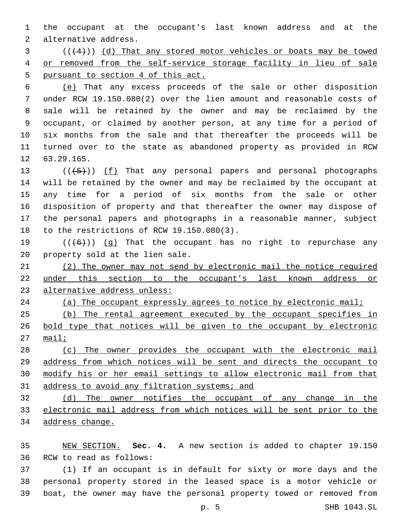the occupant at the occupant's last known address and at the 2 alternative address.

 ( $(4+)$ ) (d) That any stored motor vehicles or boats may be towed 4 or removed from the self-service storage facility in lieu of sale 5 pursuant to section 4 of this act.

 (e) That any excess proceeds of the sale or other disposition under RCW 19.150.080(2) over the lien amount and reasonable costs of sale will be retained by the owner and may be reclaimed by the occupant, or claimed by another person, at any time for a period of six months from the sale and that thereafter the proceeds will be turned over to the state as abandoned property as provided in RCW 12 63.29.165.

 $((+5+))$   $(f)$  That any personal papers and personal photographs will be retained by the owner and may be reclaimed by the occupant at any time for a period of six months from the sale or other disposition of property and that thereafter the owner may dispose of the personal papers and photographs in a reasonable manner, subject 18 to the restrictions of RCW 19.150.080(3).

19  $((+6+))$  (g) That the occupant has no right to repurchase any 20 property sold at the lien sale.

 (2) The owner may not send by electronic mail the notice required under this section to the occupant's last known address or alternative address unless:

(a) The occupant expressly agrees to notice by electronic mail;

 (b) The rental agreement executed by the occupant specifies in bold type that notices will be given to the occupant by electronic mail;

 (c) The owner provides the occupant with the electronic mail address from which notices will be sent and directs the occupant to modify his or her email settings to allow electronic mail from that 31 address to avoid any filtration systems; and

 (d) The owner notifies the occupant of any change in the electronic mail address from which notices will be sent prior to the address change.

 NEW SECTION. **Sec. 4.** A new section is added to chapter 19.150 36 RCW to read as follows:

 (1) If an occupant is in default for sixty or more days and the personal property stored in the leased space is a motor vehicle or boat, the owner may have the personal property towed or removed from